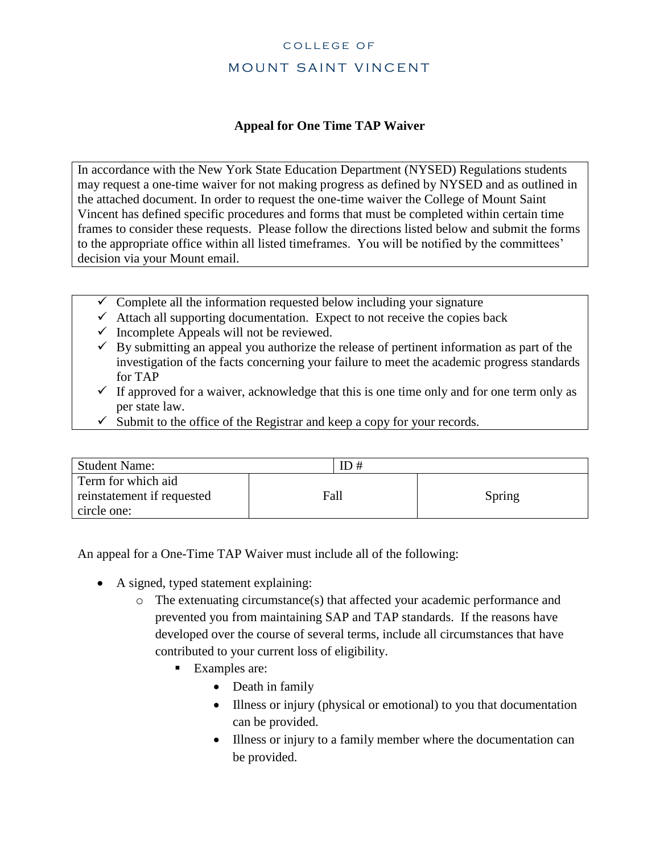## COLLEGE OF MOUNT SAINT VINCENT

## **Appeal for One Time TAP Waiver**

In accordance with the New York State Education Department (NYSED) Regulations students may request a one-time waiver for not making progress as defined by NYSED and as outlined in the attached document. In order to request the one-time waiver the College of Mount Saint Vincent has defined specific procedures and forms that must be completed within certain time frames to consider these requests. Please follow the directions listed below and submit the forms to the appropriate office within all listed timeframes. You will be notified by the committees' decision via your Mount email.

- $\checkmark$  Complete all the information requested below including your signature
- $\checkmark$  Attach all supporting documentation. Expect to not receive the copies back
- $\checkmark$  Incomplete Appeals will not be reviewed.
- $\checkmark$  By submitting an appeal you authorize the release of pertinent information as part of the investigation of the facts concerning your failure to meet the academic progress standards for TAP
- $\checkmark$  If approved for a waiver, acknowledge that this is one time only and for one term only as per state law.
- $\checkmark$  Submit to the office of the Registrar and keep a copy for your records.

| <b>Student Name:</b>                                            | ID # |        |
|-----------------------------------------------------------------|------|--------|
| Term for which aid<br>reinstatement if requested<br>circle one: | Fall | Spring |

An appeal for a One-Time TAP Waiver must include all of the following:

- A signed, typed statement explaining:
	- o The extenuating circumstance(s) that affected your academic performance and prevented you from maintaining SAP and TAP standards. If the reasons have developed over the course of several terms, include all circumstances that have contributed to your current loss of eligibility.
		- Examples are:
			- Death in family
			- Illness or injury (physical or emotional) to you that documentation can be provided.
			- Illness or injury to a family member where the documentation can be provided.